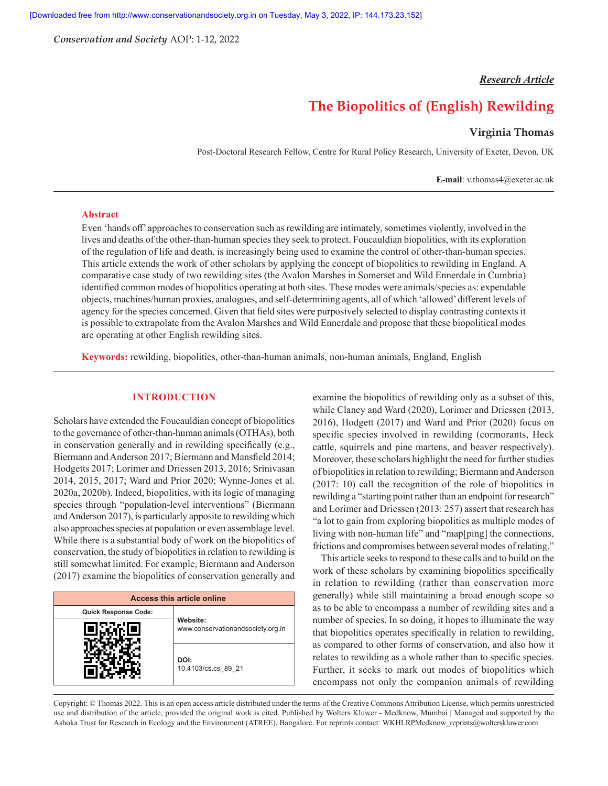*Conservation and Society* AOP: 1-12, 2022

# *Research Article*

# **The Biopolitics of (English) Rewilding**

# **Virginia Thomas**

Post-Doctoral Research Fellow, Centre for Rural Policy Research, University of Exeter, Devon, UK

**E-mail**: v.thomas4@exeter.ac.uk

#### **Abstract**

Even 'hands off' approaches to conservation such as rewilding are intimately, sometimes violently, involved in the lives and deaths of the other-than-human species they seek to protect. Foucauldian biopolitics, with its exploration of the regulation of life and death, is increasingly being used to examine the control of other-than-human species. This article extends the work of other scholars by applying the concept of biopolitics to rewilding in England. A comparative case study of two rewilding sites (the Avalon Marshes in Somerset and Wild Ennerdale in Cumbria) identified common modes of biopolitics operating at both sites. These modes were animals/species as: expendable objects, machines/human proxies, analogues, and self-determining agents, all of which 'allowed' different levels of agency for the species concerned. Given that field sites were purposively selected to display contrasting contexts it is possible to extrapolate from the Avalon Marshes and Wild Ennerdale and propose that these biopolitical modes are operating at other English rewilding sites.

**Keywords:** rewilding, biopolitics, other-than-human animals, non-human animals, England, English

# **INTRODUCTION**

Scholars have extended the Foucauldian concept of biopolitics to the governance of other-than-human animals (OTHAs), both in conservation generally and in rewilding specifically (e.g., Biermann and Anderson 2017; Biermann and Mansfield 2014; Hodgetts 2017; Lorimer and Driessen 2013, 2016; Srinivasan 2014, 2015, 2017; Ward and Prior 2020; Wynne-Jones et al. 2020a, 2020b). Indeed, biopolitics, with its logic of managing species through "population-level interventions" (Biermann and Anderson 2017), is particularly apposite to rewilding which also approaches species at population or even assemblage level. While there is a substantial body of work on the biopolitics of conservation, the study of biopolitics in relation to rewilding is still somewhat limited. For example, Biermann and Anderson (2017) examine the biopolitics of conservation generally and

| <b>Access this article online</b> |                                               |  |  |  |  |
|-----------------------------------|-----------------------------------------------|--|--|--|--|
| <b>Quick Response Code:</b>       | Website:<br>www.conservationandsociety.org.in |  |  |  |  |
|                                   |                                               |  |  |  |  |
|                                   | DOI:<br>10.4103/cs.cs 89 21                   |  |  |  |  |

examine the biopolitics of rewilding only as a subset of this, while Clancy and Ward (2020), Lorimer and Driessen (2013, 2016), Hodgett (2017) and Ward and Prior (2020) focus on specific species involved in rewilding (cormorants, Heck cattle, squirrels and pine martens, and beaver respectively). Moreover, these scholars highlight the need for further studies of biopolitics in relation to rewilding; Biermann and Anderson (2017: 10) call the recognition of the role of biopolitics in rewilding a "starting point rather than an endpoint for research" and Lorimer and Driessen (2013: 257) assert that research has "a lot to gain from exploring biopolitics as multiple modes of living with non-human life" and "map[ping] the connections, frictions and compromises between several modes of relating."

This article seeks to respond to these calls and to build on the work of these scholars by examining biopolitics specifically in relation to rewilding (rather than conservation more generally) while still maintaining a broad enough scope so as to be able to encompass a number of rewilding sites and a number of species. In so doing, it hopes to illuminate the way that biopolitics operates specifically in relation to rewilding, as compared to other forms of conservation, and also how it relates to rewilding as a whole rather than to specific species. Further, it seeks to mark out modes of biopolitics which encompass not only the companion animals of rewilding

Copyright: © Thomas 2022. This is an open access article distributed under the terms of the Creative Commons Attribution License, which permits unrestricted use and distribution of the article, provided the original work is cited. Published by Wolters Kluwer - Medknow, Mumbai | Managed and supported by the Ashoka Trust for Research in Ecology and the Environment (ATREE), Bangalore. For reprints contact: WKHLRPMedknow\_reprints@wolterskluwer.com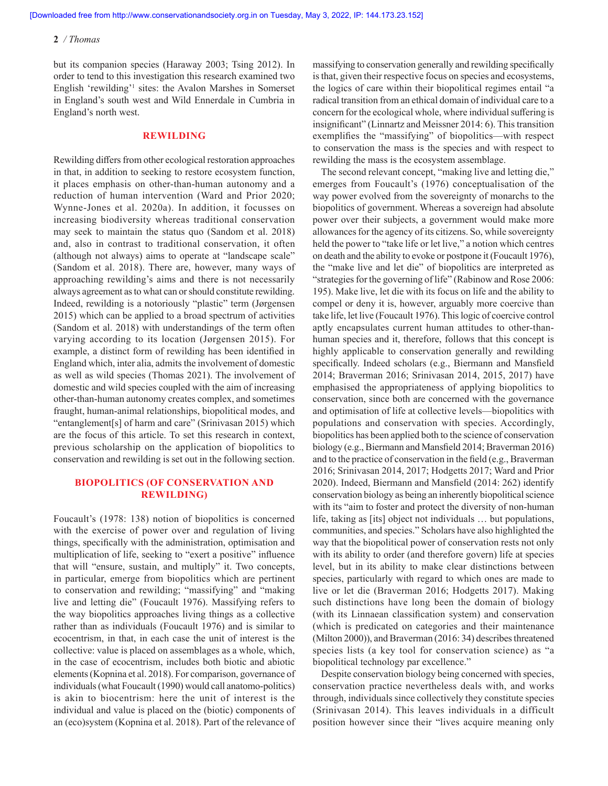but its companion species (Haraway 2003; Tsing 2012). In order to tend to this investigation this research examined two English 'rewilding'<sup>1</sup> sites: the Avalon Marshes in Somerset in England's south west and Wild Ennerdale in Cumbria in England's north west.

#### **REWILDING**

Rewilding differs from other ecological restoration approaches in that, in addition to seeking to restore ecosystem function, it places emphasis on other-than-human autonomy and a reduction of human intervention (Ward and Prior 2020; Wynne-Jones et al. 2020a). In addition, it focusses on increasing biodiversity whereas traditional conservation may seek to maintain the status quo (Sandom et al. 2018) and, also in contrast to traditional conservation, it often (although not always) aims to operate at "landscape scale" (Sandom et al. 2018). There are, however, many ways of approaching rewilding's aims and there is not necessarily always agreement as to what can or should constitute rewilding. Indeed, rewilding is a notoriously "plastic" term (Jørgensen 2015) which can be applied to a broad spectrum of activities (Sandom et al. 2018) with understandings of the term often varying according to its location (Jørgensen 2015). For example, a distinct form of rewilding has been identified in England which, inter alia, admits the involvement of domestic as well as wild species (Thomas 2021). The involvement of domestic and wild species coupled with the aim of increasing other-than-human autonomy creates complex, and sometimes fraught, human-animal relationships, biopolitical modes, and "entanglement[s] of harm and care" (Srinivasan 2015) which are the focus of this article. To set this research in context, previous scholarship on the application of biopolitics to conservation and rewilding is set out in the following section.

# **BIOPOLITICS (OF CONSERVATION AND REWILDING)**

Foucault's (1978: 138) notion of biopolitics is concerned with the exercise of power over and regulation of living things, specifically with the administration, optimisation and multiplication of life, seeking to "exert a positive" influence that will "ensure, sustain, and multiply" it. Two concepts, in particular, emerge from biopolitics which are pertinent to conservation and rewilding; "massifying" and "making live and letting die" (Foucault 1976). Massifying refers to the way biopolitics approaches living things as a collective rather than as individuals (Foucault 1976) and is similar to ecocentrism, in that, in each case the unit of interest is the collective: value is placed on assemblages as a whole, which, in the case of ecocentrism, includes both biotic and abiotic elements (Kopnina et al. 2018). For comparison, governance of individuals (what Foucault (1990) would call anatomo-politics) is akin to biocentrism: here the unit of interest is the individual and value is placed on the (biotic) components of an (eco)system (Kopnina et al. 2018). Part of the relevance of massifying to conservation generally and rewilding specifically is that, given their respective focus on species and ecosystems, the logics of care within their biopolitical regimes entail "a radical transition from an ethical domain of individual care to a concern for the ecological whole, where individual suffering is insignificant" (Linnartz and Meissner 2014: 6). This transition exemplifies the "massifying" of biopolitics—with respect to conservation the mass is the species and with respect to rewilding the mass is the ecosystem assemblage.

The second relevant concept, "making live and letting die," emerges from Foucault's (1976) conceptualisation of the way power evolved from the sovereignty of monarchs to the biopolitics of government. Whereas a sovereign had absolute power over their subjects, a government would make more allowances for the agency of its citizens. So, while sovereignty held the power to "take life or let live," a notion which centres on death and the ability to evoke or postpone it (Foucault 1976), the "make live and let die" of biopolitics are interpreted as "strategies for the governing of life" (Rabinow and Rose 2006: 195). Make live, let die with its focus on life and the ability to compel or deny it is, however, arguably more coercive than take life, let live (Foucault 1976). This logic of coercive control aptly encapsulates current human attitudes to other-thanhuman species and it, therefore, follows that this concept is highly applicable to conservation generally and rewilding specifically. Indeed scholars (e.g., Biermann and Mansfield 2014; Braverman 2016; Srinivasan 2014, 2015, 2017) have emphasised the appropriateness of applying biopolitics to conservation, since both are concerned with the governance and optimisation of life at collective levels—biopolitics with populations and conservation with species. Accordingly, biopolitics has been applied both to the science of conservation biology (e.g., Biermann and Mansfield 2014; Braverman 2016) and to the practice of conservation in the field (e.g., Braverman 2016; Srinivasan 2014, 2017; Hodgetts 2017; Ward and Prior 2020). Indeed, Biermann and Mansfield (2014: 262) identify conservation biology as being an inherently biopolitical science with its "aim to foster and protect the diversity of non-human life, taking as [its] object not individuals … but populations, communities, and species." Scholars have also highlighted the way that the biopolitical power of conservation rests not only with its ability to order (and therefore govern) life at species level, but in its ability to make clear distinctions between species, particularly with regard to which ones are made to live or let die (Braverman 2016; Hodgetts 2017). Making such distinctions have long been the domain of biology (with its Linnaean classification system) and conservation (which is predicated on categories and their maintenance (Milton 2000)), and Braverman (2016: 34) describes threatened species lists (a key tool for conservation science) as "a biopolitical technology par excellence."

Despite conservation biology being concerned with species, conservation practice nevertheless deals with, and works through, individuals since collectively they constitute species (Srinivasan 2014). This leaves individuals in a difficult position however since their "lives acquire meaning only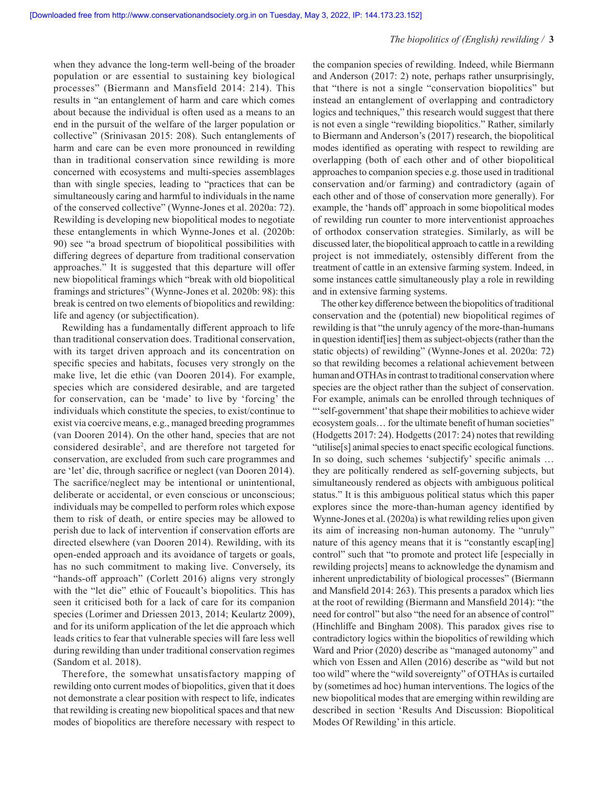when they advance the long-term well-being of the broader population or are essential to sustaining key biological processes" (Biermann and Mansfield 2014: 214). This results in "an entanglement of harm and care which comes about because the individual is often used as a means to an end in the pursuit of the welfare of the larger population or collective" (Srinivasan 2015: 208). Such entanglements of harm and care can be even more pronounced in rewilding than in traditional conservation since rewilding is more concerned with ecosystems and multi-species assemblages than with single species, leading to "practices that can be simultaneously caring and harmful to individuals in the name of the conserved collective" (Wynne-Jones et al. 2020a: 72). Rewilding is developing new biopolitical modes to negotiate these entanglements in which Wynne-Jones et al. (2020b: 90) see "a broad spectrum of biopolitical possibilities with differing degrees of departure from traditional conservation approaches." It is suggested that this departure will offer new biopolitical framings which "break with old biopolitical framings and strictures" (Wynne-Jones et al. 2020b: 98): this break is centred on two elements of biopolitics and rewilding: life and agency (or subjectification).

Rewilding has a fundamentally different approach to life than traditional conservation does. Traditional conservation, with its target driven approach and its concentration on specific species and habitats, focuses very strongly on the make live, let die ethic (van Dooren 2014). For example, species which are considered desirable, and are targeted for conservation, can be 'made' to live by 'forcing' the individuals which constitute the species, to exist/continue to exist via coercive means, e.g., managed breeding programmes (van Dooren 2014). On the other hand, species that are not considered desirable2 , and are therefore not targeted for conservation, are excluded from such care programmes and are 'let' die, through sacrifice or neglect (van Dooren 2014). The sacrifice/neglect may be intentional or unintentional, deliberate or accidental, or even conscious or unconscious; individuals may be compelled to perform roles which expose them to risk of death, or entire species may be allowed to perish due to lack of intervention if conservation efforts are directed elsewhere (van Dooren 2014). Rewilding, with its open-ended approach and its avoidance of targets or goals, has no such commitment to making live. Conversely, its "hands-off approach" (Corlett 2016) aligns very strongly with the "let die" ethic of Foucault's biopolitics. This has seen it criticised both for a lack of care for its companion species (Lorimer and Driessen 2013, 2014; Keulartz 2009), and for its uniform application of the let die approach which leads critics to fear that vulnerable species will fare less well during rewilding than under traditional conservation regimes (Sandom et al. 2018).

Therefore, the somewhat unsatisfactory mapping of rewilding onto current modes of biopolitics, given that it does not demonstrate a clear position with respect to life, indicates that rewilding is creating new biopolitical spaces and that new modes of biopolitics are therefore necessary with respect to

the companion species of rewilding. Indeed, while Biermann and Anderson (2017: 2) note, perhaps rather unsurprisingly, that "there is not a single "conservation biopolitics" but instead an entanglement of overlapping and contradictory logics and techniques," this research would suggest that there is not even a single "rewilding biopolitics." Rather, similarly to Biermann and Anderson's (2017) research, the biopolitical modes identified as operating with respect to rewilding are overlapping (both of each other and of other biopolitical approaches to companion species e.g. those used in traditional conservation and/or farming) and contradictory (again of each other and of those of conservation more generally). For example, the 'hands off' approach in some biopolitical modes of rewilding run counter to more interventionist approaches of orthodox conservation strategies. Similarly, as will be discussed later, the biopolitical approach to cattle in a rewilding project is not immediately, ostensibly different from the treatment of cattle in an extensive farming system. Indeed, in some instances cattle simultaneously play a role in rewilding and in extensive farming systems.

The other key difference between the biopolitics of traditional conservation and the (potential) new biopolitical regimes of rewilding is that "the unruly agency of the more-than-humans in question identif[ies] them as subject-objects (rather than the static objects) of rewilding" (Wynne-Jones et al. 2020a: 72) so that rewilding becomes a relational achievement between human and OTHAs in contrast to traditional conservation where species are the object rather than the subject of conservation. For example, animals can be enrolled through techniques of "'self-government' that shape their mobilities to achieve wider ecosystem goals… for the ultimate benefit of human societies" (Hodgetts 2017: 24). Hodgetts (2017: 24) notes that rewilding "utilise[s] animal species to enact specific ecological functions. In so doing, such schemes 'subjectify' specific animals … they are politically rendered as self-governing subjects, but simultaneously rendered as objects with ambiguous political status." It is this ambiguous political status which this paper explores since the more-than-human agency identified by Wynne-Jones et al. (2020a) is what rewilding relies upon given its aim of increasing non-human autonomy. The "unruly" nature of this agency means that it is "constantly escap[ing] control" such that "to promote and protect life [especially in rewilding projects] means to acknowledge the dynamism and inherent unpredictability of biological processes" (Biermann and Mansfield 2014: 263). This presents a paradox which lies at the root of rewilding (Biermann and Mansfield 2014): "the need for control" but also "the need for an absence of control" (Hinchliffe and Bingham 2008). This paradox gives rise to contradictory logics within the biopolitics of rewilding which Ward and Prior (2020) describe as "managed autonomy" and which von Essen and Allen (2016) describe as "wild but not too wild" where the "wild sovereignty" of OTHAs is curtailed by (sometimes ad hoc) human interventions. The logics of the new biopolitical modes that are emerging within rewilding are described in section 'Results And Discussion: Biopolitical Modes Of Rewilding' in this article.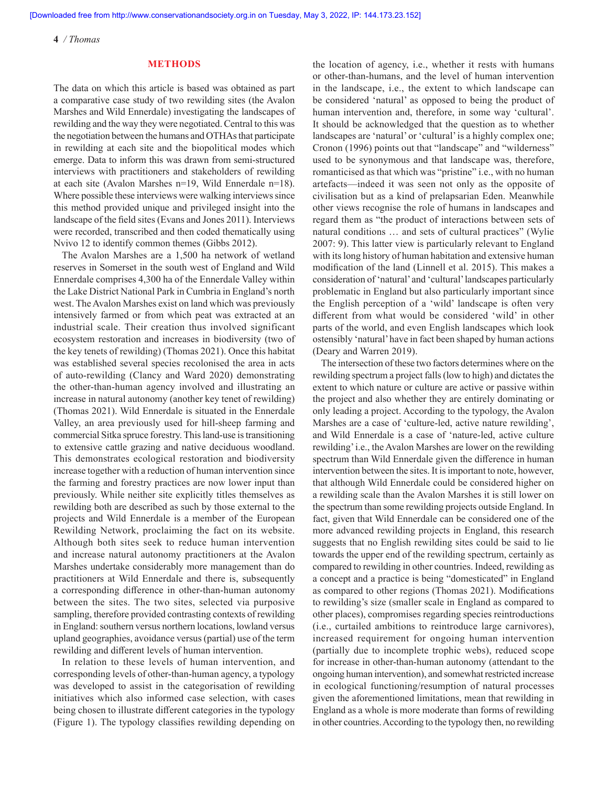#### **METHODS**

The data on which this article is based was obtained as part a comparative case study of two rewilding sites (the Avalon Marshes and Wild Ennerdale) investigating the landscapes of rewilding and the way they were negotiated. Central to this was the negotiation between the humans and OTHAs that participate in rewilding at each site and the biopolitical modes which emerge. Data to inform this was drawn from semi-structured interviews with practitioners and stakeholders of rewilding at each site (Avalon Marshes n=19, Wild Ennerdale n=18). Where possible these interviews were walking interviews since this method provided unique and privileged insight into the landscape of the field sites (Evans and Jones 2011). Interviews were recorded, transcribed and then coded thematically using Nvivo 12 to identify common themes (Gibbs 2012).

The Avalon Marshes are a 1,500 ha network of wetland reserves in Somerset in the south west of England and Wild Ennerdale comprises 4,300 ha of the Ennerdale Valley within the Lake District National Park in Cumbria in England's north west. The Avalon Marshes exist on land which was previously intensively farmed or from which peat was extracted at an industrial scale. Their creation thus involved significant ecosystem restoration and increases in biodiversity (two of the key tenets of rewilding) (Thomas 2021). Once this habitat was established several species recolonised the area in acts of auto-rewilding (Clancy and Ward 2020) demonstrating the other-than-human agency involved and illustrating an increase in natural autonomy (another key tenet of rewilding) (Thomas 2021). Wild Ennerdale is situated in the Ennerdale Valley, an area previously used for hill-sheep farming and commercial Sitka spruce forestry. This land-use is transitioning to extensive cattle grazing and native deciduous woodland. This demonstrates ecological restoration and biodiversity increase together with a reduction of human intervention since the farming and forestry practices are now lower input than previously. While neither site explicitly titles themselves as rewilding both are described as such by those external to the projects and Wild Ennerdale is a member of the European Rewilding Network, proclaiming the fact on its website. Although both sites seek to reduce human intervention and increase natural autonomy practitioners at the Avalon Marshes undertake considerably more management than do practitioners at Wild Ennerdale and there is, subsequently a corresponding difference in other-than-human autonomy between the sites. The two sites, selected via purposive sampling, therefore provided contrasting contexts of rewilding in England: southern versus northern locations, lowland versus upland geographies, avoidance versus (partial) use of the term rewilding and different levels of human intervention.

In relation to these levels of human intervention, and corresponding levels of other-than-human agency, a typology was developed to assist in the categorisation of rewilding initiatives which also informed case selection, with cases being chosen to illustrate different categories in the typology (Figure 1). The typology classifies rewilding depending on the location of agency, i.e., whether it rests with humans or other-than-humans, and the level of human intervention in the landscape, i.e., the extent to which landscape can be considered 'natural' as opposed to being the product of human intervention and, therefore, in some way 'cultural'. It should be acknowledged that the question as to whether landscapes are 'natural' or 'cultural' is a highly complex one; Cronon (1996) points out that "landscape" and "wilderness" used to be synonymous and that landscape was, therefore, romanticised as that which was "pristine" i.e., with no human artefacts—indeed it was seen not only as the opposite of civilisation but as a kind of prelapsarian Eden. Meanwhile other views recognise the role of humans in landscapes and regard them as "the product of interactions between sets of natural conditions … and sets of cultural practices" (Wylie 2007: 9). This latter view is particularly relevant to England with its long history of human habitation and extensive human modification of the land (Linnell et al. 2015). This makes a consideration of 'natural' and 'cultural' landscapes particularly problematic in England but also particularly important since the English perception of a 'wild' landscape is often very different from what would be considered 'wild' in other parts of the world, and even English landscapes which look ostensibly 'natural' have in fact been shaped by human actions (Deary and Warren 2019).

The intersection of these two factors determines where on the rewilding spectrum a project falls (low to high) and dictates the extent to which nature or culture are active or passive within the project and also whether they are entirely dominating or only leading a project. According to the typology, the Avalon Marshes are a case of 'culture-led, active nature rewilding', and Wild Ennerdale is a case of 'nature-led, active culture rewilding' i.e., the Avalon Marshes are lower on the rewilding spectrum than Wild Ennerdale given the difference in human intervention between the sites. It is important to note, however, that although Wild Ennerdale could be considered higher on a rewilding scale than the Avalon Marshes it is still lower on the spectrum than some rewilding projects outside England. In fact, given that Wild Ennerdale can be considered one of the more advanced rewilding projects in England, this research suggests that no English rewilding sites could be said to lie towards the upper end of the rewilding spectrum, certainly as compared to rewilding in other countries. Indeed, rewilding as a concept and a practice is being "domesticated" in England as compared to other regions (Thomas 2021). Modifications to rewilding's size (smaller scale in England as compared to other places), compromises regarding species reintroductions (i.e., curtailed ambitions to reintroduce large carnivores), increased requirement for ongoing human intervention (partially due to incomplete trophic webs), reduced scope for increase in other-than-human autonomy (attendant to the ongoing human intervention), and somewhat restricted increase in ecological functioning/resumption of natural processes given the aforementioned limitations, mean that rewilding in England as a whole is more moderate than forms of rewilding in other countries. According to the typology then, no rewilding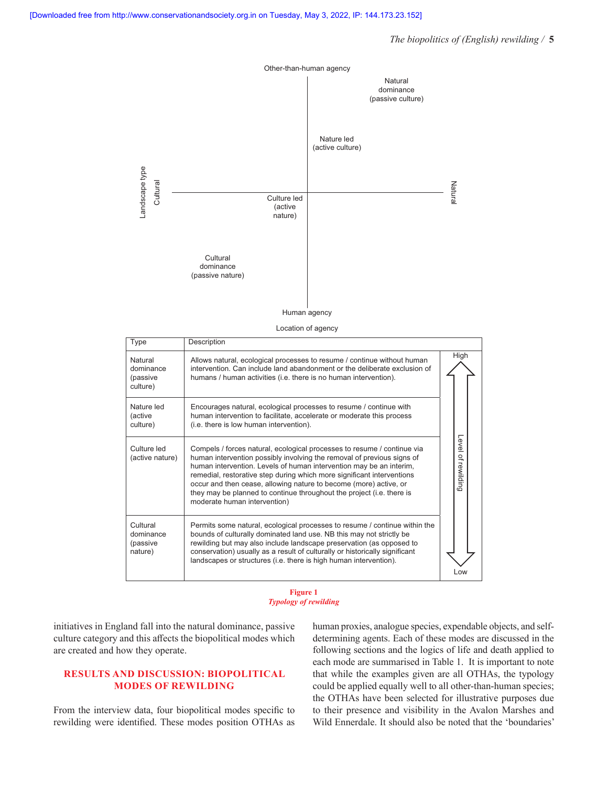# *The biopolitics of (English) rewilding /* **5**



Location of agency

| Type                                         | Description                                                                                                                                                                                                                                                                                                                                                                                                                                                                      |                       |  |
|----------------------------------------------|----------------------------------------------------------------------------------------------------------------------------------------------------------------------------------------------------------------------------------------------------------------------------------------------------------------------------------------------------------------------------------------------------------------------------------------------------------------------------------|-----------------------|--|
| Natural<br>dominance<br>(passive<br>culture) | Allows natural, ecological processes to resume / continue without human<br>intervention. Can include land abandonment or the deliberate exclusion of<br>humans / human activities (i.e. there is no human intervention).                                                                                                                                                                                                                                                         | High                  |  |
| Nature led<br>(active<br>culture)            | Encourages natural, ecological processes to resume / continue with<br>human intervention to facilitate, accelerate or moderate this process<br>(i.e. there is low human intervention).                                                                                                                                                                                                                                                                                           |                       |  |
| Culture led<br>(active nature)               | Compels / forces natural, ecological processes to resume / continue via<br>human intervention possibly involving the removal of previous signs of<br>human intervention. Levels of human intervention may be an interim,<br>remedial, restorative step during which more significant interventions<br>occur and then cease, allowing nature to become (more) active, or<br>they may be planned to continue throughout the project (i.e. there is<br>moderate human intervention) | Level of<br>rewilding |  |
| Cultural<br>dominance<br>(passive<br>nature) | Permits some natural, ecological processes to resume / continue within the<br>bounds of culturally dominated land use. NB this may not strictly be<br>rewilding but may also include landscape preservation (as opposed to<br>conservation) usually as a result of culturally or historically significant<br>landscapes or structures (i.e. there is high human intervention).                                                                                                   | Low                   |  |

#### **Figure 1** *Typology of rewilding*

initiatives in England fall into the natural dominance, passive culture category and this affects the biopolitical modes which are created and how they operate.

# **RESULTS AND DISCUSSION: BIOPOLITICAL MODES OF REWILDING**

From the interview data, four biopolitical modes specific to rewilding were identified. These modes position OTHAs as human proxies, analogue species, expendable objects, and selfdetermining agents. Each of these modes are discussed in the following sections and the logics of life and death applied to each mode are summarised in Table 1. It is important to note that while the examples given are all OTHAs, the typology could be applied equally well to all other-than-human species; the OTHAs have been selected for illustrative purposes due to their presence and visibility in the Avalon Marshes and Wild Ennerdale. It should also be noted that the 'boundaries'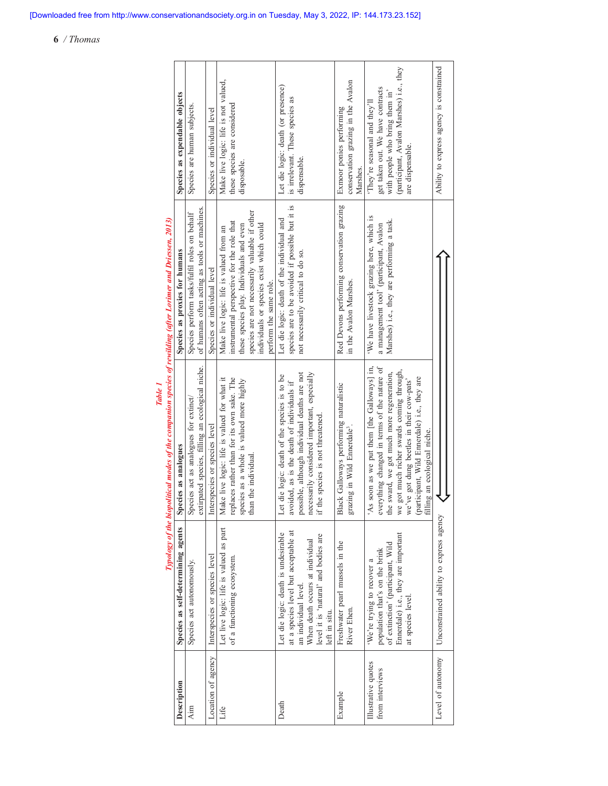| Typology of the biopolitical modes of the companion species of rewilding (after Lorimer and Driessen, 2013) | Species as expendable objects      | Species are human subjects.                                                                  | Species or individual level   | Make live logic: life is not valued,<br>these species are considered<br>disposable.                                                                                                                                                                      | Let die logic: death (or presence)<br>is irrelevant. These species as<br>dispensable.                                                                                                                                           | conservation grazing in the Avalon<br>Exmoor ponies performing<br>Marshes.          | (participant, Avalon Marshes) i.e., they<br>get taken out. We have contracts<br>with people who bring them in'<br>They're seasonal and they'll'<br>are dispensable.                                                                                                                                                | Ability to express agency is constrained |
|-------------------------------------------------------------------------------------------------------------|------------------------------------|----------------------------------------------------------------------------------------------|-------------------------------|----------------------------------------------------------------------------------------------------------------------------------------------------------------------------------------------------------------------------------------------------------|---------------------------------------------------------------------------------------------------------------------------------------------------------------------------------------------------------------------------------|-------------------------------------------------------------------------------------|--------------------------------------------------------------------------------------------------------------------------------------------------------------------------------------------------------------------------------------------------------------------------------------------------------------------|------------------------------------------|
|                                                                                                             | Species as proxies for humans      | of humans often acting as tools or machines.<br>Species perform tasks/fulfil roles on behalf | Species or individual level   | species are not necessarily valuable if other<br>instrumental perspective for the role that<br>individuals or species exist which could<br>these species play. Individuals and even<br>Make live logic: life is valued from an<br>perform the same role. | species are to be avoided if possible but it is<br>Let die logic: death of the individual and<br>not necessarily critical to do so.                                                                                             | Red Devons performing conservation grazing<br>in the Avalon Marshes.                | 'We have livestock grazing here, which is<br>Marshes) i.e., they are performing a task.<br>a management tool' (participant, Avalon                                                                                                                                                                                 |                                          |
|                                                                                                             | Species as analogues               | extirpated species, filling an ecological niche.<br>Species act as analogues for extinct/    | Interspecies or species level | Make live logic: life is valued for what it<br>replaces rather than for its own sake. The<br>species as a whole is valued more highly<br>than the individual.                                                                                            | possible, although individual deaths are not<br>necessarily considered important, especially<br>if the species is not threatened.<br>Let die logic: death of the species is to be<br>avoided, as is the death of individuals if | Black Galloways performing naturalistic<br>grazing in Wild Ennerdale <sup>3</sup> . | 'As soon as we put them [the Galloways] in,<br>everything changed in terms of the nature of<br>we got much richer swards coming through,<br>the sward, we got much more regeneration,<br>(participant, Wild Ennerdale) i.e., they are<br>filling an ecological niche.<br>we've got dung beetles in their cow-pats' | Unconstrained ability to express agency  |
|                                                                                                             | Species as self-determining agents | Species act autonomously.                                                                    | Interspecies or species level | Let live logic: life is valued as part<br>of a functioning ecosystem.                                                                                                                                                                                    | at a species level but acceptable at<br>Let die logic: death is undesirable<br>level it is 'natural' and bodies are<br>When death occurs at individual<br>an individual level.<br>left in situ.                                 | Freshwater pearl mussels in the<br>River Ehen.                                      | Ennerdale) i.e., they are important<br>of extinction' (participant, Wild<br>population that's on the brink<br>'We're trying to recover a<br>at species level.                                                                                                                                                      |                                          |
|                                                                                                             | Description                        | Aim                                                                                          | Location of agency            | Life                                                                                                                                                                                                                                                     | Death                                                                                                                                                                                                                           | Example                                                                             | Illustrative quotes<br>from interviews                                                                                                                                                                                                                                                                             | Level of autonomy                        |

*Table 1*

# **6** */ Thomas*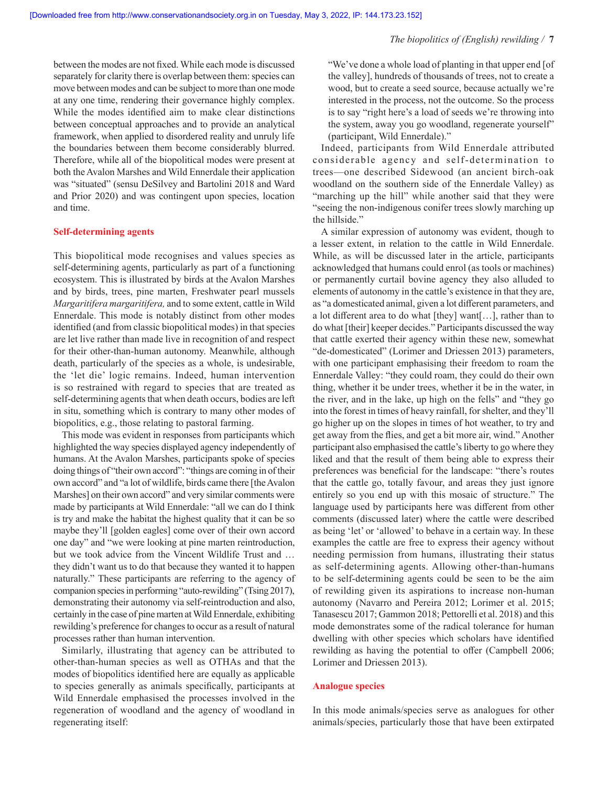between the modes are not fixed. While each mode is discussed separately for clarity there is overlap between them: species can move between modes and can be subject to more than one mode at any one time, rendering their governance highly complex. While the modes identified aim to make clear distinctions between conceptual approaches and to provide an analytical framework, when applied to disordered reality and unruly life the boundaries between them become considerably blurred. Therefore, while all of the biopolitical modes were present at both the Avalon Marshes and Wild Ennerdale their application was "situated" (sensu DeSilvey and Bartolini 2018 and Ward and Prior 2020) and was contingent upon species, location and time.

#### **Self-determining agents**

This biopolitical mode recognises and values species as self-determining agents, particularly as part of a functioning ecosystem. This is illustrated by birds at the Avalon Marshes and by birds, trees, pine marten, Freshwater pearl mussels *Margaritifera margaritifera,* and to some extent, cattle in Wild Ennerdale. This mode is notably distinct from other modes identified (and from classic biopolitical modes) in that species are let live rather than made live in recognition of and respect for their other-than-human autonomy. Meanwhile, although death, particularly of the species as a whole, is undesirable, the 'let die' logic remains. Indeed, human intervention is so restrained with regard to species that are treated as self-determining agents that when death occurs, bodies are left in situ, something which is contrary to many other modes of biopolitics, e.g., those relating to pastoral farming.

This mode was evident in responses from participants which highlighted the way species displayed agency independently of humans. At the Avalon Marshes, participants spoke of species doing things of "their own accord": "things are coming in of their own accord" and "a lot of wildlife, birds came there [the Avalon Marshes] on their own accord" and very similar comments were made by participants at Wild Ennerdale: "all we can do I think is try and make the habitat the highest quality that it can be so maybe they'll [golden eagles] come over of their own accord one day" and "we were looking at pine marten reintroduction, but we took advice from the Vincent Wildlife Trust and … they didn't want us to do that because they wanted it to happen naturally." These participants are referring to the agency of companion species in performing "auto-rewilding" (Tsing 2017), demonstrating their autonomy via self-reintroduction and also, certainly in the case of pine marten at Wild Ennerdale, exhibiting rewilding's preference for changes to occur as a result of natural processes rather than human intervention.

Similarly, illustrating that agency can be attributed to other-than-human species as well as OTHAs and that the modes of biopolitics identified here are equally as applicable to species generally as animals specifically, participants at Wild Ennerdale emphasised the processes involved in the regeneration of woodland and the agency of woodland in regenerating itself:

"We've done a whole load of planting in that upper end [of the valley], hundreds of thousands of trees, not to create a wood, but to create a seed source, because actually we're interested in the process, not the outcome. So the process is to say "right here's a load of seeds we're throwing into the system, away you go woodland, regenerate yourself" (participant, Wild Ennerdale)."

Indeed, participants from Wild Ennerdale attributed considerable agency and self-determination to trees—one described Sidewood (an ancient birch-oak woodland on the southern side of the Ennerdale Valley) as "marching up the hill" while another said that they were "seeing the non-indigenous conifer trees slowly marching up the hillside."

A similar expression of autonomy was evident, though to a lesser extent, in relation to the cattle in Wild Ennerdale. While, as will be discussed later in the article, participants acknowledged that humans could enrol (as tools or machines) or permanently curtail bovine agency they also alluded to elements of autonomy in the cattle's existence in that they are, as "a domesticated animal, given a lot different parameters, and a lot different area to do what [they] want[…], rather than to do what [their] keeper decides." Participants discussed the way that cattle exerted their agency within these new, somewhat "de-domesticated" (Lorimer and Driessen 2013) parameters, with one participant emphasising their freedom to roam the Ennerdale Valley: "they could roam, they could do their own thing, whether it be under trees, whether it be in the water, in the river, and in the lake, up high on the fells" and "they go into the forest in times of heavy rainfall, for shelter, and they'll go higher up on the slopes in times of hot weather, to try and get away from the flies, and get a bit more air, wind." Another participant also emphasised the cattle's liberty to go where they liked and that the result of them being able to express their preferences was beneficial for the landscape: "there's routes that the cattle go, totally favour, and areas they just ignore entirely so you end up with this mosaic of structure." The language used by participants here was different from other comments (discussed later) where the cattle were described as being 'let' or 'allowed' to behave in a certain way. In these examples the cattle are free to express their agency without needing permission from humans, illustrating their status as self-determining agents. Allowing other-than-humans to be self-determining agents could be seen to be the aim of rewilding given its aspirations to increase non-human autonomy (Navarro and Pereira 2012; Lorimer et al. 2015; Tanasescu 2017; Gammon 2018; Pettorelli et al. 2018) and this mode demonstrates some of the radical tolerance for human dwelling with other species which scholars have identified rewilding as having the potential to offer (Campbell 2006; Lorimer and Driessen 2013).

# **Analogue species**

In this mode animals/species serve as analogues for other animals/species, particularly those that have been extirpated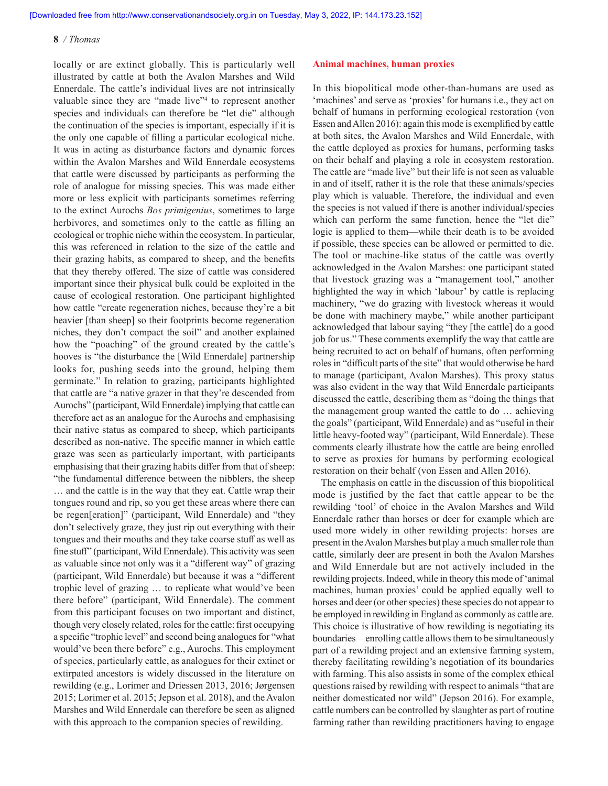locally or are extinct globally. This is particularly well illustrated by cattle at both the Avalon Marshes and Wild Ennerdale. The cattle's individual lives are not intrinsically valuable since they are "made live"<sup>4</sup> to represent another species and individuals can therefore be "let die" although the continuation of the species is important, especially if it is the only one capable of filling a particular ecological niche. It was in acting as disturbance factors and dynamic forces within the Avalon Marshes and Wild Ennerdale ecosystems that cattle were discussed by participants as performing the role of analogue for missing species. This was made either more or less explicit with participants sometimes referring to the extinct Aurochs *Bos primigenius*, sometimes to large herbivores, and sometimes only to the cattle as filling an ecological or trophic niche within the ecosystem. In particular, this was referenced in relation to the size of the cattle and their grazing habits, as compared to sheep, and the benefits that they thereby offered. The size of cattle was considered important since their physical bulk could be exploited in the cause of ecological restoration. One participant highlighted how cattle "create regeneration niches, because they're a bit heavier [than sheep] so their footprints become regeneration niches, they don't compact the soil" and another explained how the "poaching" of the ground created by the cattle's hooves is "the disturbance the [Wild Ennerdale] partnership looks for, pushing seeds into the ground, helping them germinate." In relation to grazing, participants highlighted that cattle are "a native grazer in that they're descended from Aurochs" (participant, Wild Ennerdale) implying that cattle can therefore act as an analogue for the Aurochs and emphasising their native status as compared to sheep, which participants described as non-native. The specific manner in which cattle graze was seen as particularly important, with participants emphasising that their grazing habits differ from that of sheep: "the fundamental difference between the nibblers, the sheep … and the cattle is in the way that they eat. Cattle wrap their tongues round and rip, so you get these areas where there can be regen[eration]" (participant, Wild Ennerdale) and "they don't selectively graze, they just rip out everything with their tongues and their mouths and they take coarse stuff as well as fine stuff" (participant, Wild Ennerdale). This activity was seen as valuable since not only was it a "different way" of grazing (participant, Wild Ennerdale) but because it was a "different trophic level of grazing … to replicate what would've been there before" (participant, Wild Ennerdale). The comment from this participant focuses on two important and distinct, though very closely related, roles for the cattle: first occupying a specific "trophic level" and second being analogues for "what would've been there before" e.g., Aurochs. This employment of species, particularly cattle, as analogues for their extinct or extirpated ancestors is widely discussed in the literature on rewilding (e.g., Lorimer and Driessen 2013, 2016; Jørgensen 2015; Lorimer et al. 2015; Jepson et al. 2018), and the Avalon Marshes and Wild Ennerdale can therefore be seen as aligned with this approach to the companion species of rewilding.

#### **Animal machines, human proxies**

In this biopolitical mode other-than-humans are used as 'machines' and serve as 'proxies' for humans i.e., they act on behalf of humans in performing ecological restoration (von Essen and Allen 2016): again this mode is exemplified by cattle at both sites, the Avalon Marshes and Wild Ennerdale, with the cattle deployed as proxies for humans, performing tasks on their behalf and playing a role in ecosystem restoration. The cattle are "made live" but their life is not seen as valuable in and of itself, rather it is the role that these animals/species play which is valuable. Therefore, the individual and even the species is not valued if there is another individual/species which can perform the same function, hence the "let die" logic is applied to them—while their death is to be avoided if possible, these species can be allowed or permitted to die. The tool or machine-like status of the cattle was overtly acknowledged in the Avalon Marshes: one participant stated that livestock grazing was a "management tool," another highlighted the way in which 'labour' by cattle is replacing machinery, "we do grazing with livestock whereas it would be done with machinery maybe," while another participant acknowledged that labour saying "they [the cattle] do a good job for us." These comments exemplify the way that cattle are being recruited to act on behalf of humans, often performing roles in "difficult parts of the site" that would otherwise be hard to manage (participant, Avalon Marshes). This proxy status was also evident in the way that Wild Ennerdale participants discussed the cattle, describing them as "doing the things that the management group wanted the cattle to do … achieving the goals" (participant, Wild Ennerdale) and as "useful in their little heavy-footed way" (participant, Wild Ennerdale). These comments clearly illustrate how the cattle are being enrolled to serve as proxies for humans by performing ecological restoration on their behalf (von Essen and Allen 2016).

The emphasis on cattle in the discussion of this biopolitical mode is justified by the fact that cattle appear to be the rewilding 'tool' of choice in the Avalon Marshes and Wild Ennerdale rather than horses or deer for example which are used more widely in other rewilding projects: horses are present in the Avalon Marshes but play a much smaller role than cattle, similarly deer are present in both the Avalon Marshes and Wild Ennerdale but are not actively included in the rewilding projects. Indeed, while in theory this mode of 'animal machines, human proxies' could be applied equally well to horses and deer (or other species) these species do not appear to be employed in rewilding in England as commonly as cattle are. This choice is illustrative of how rewilding is negotiating its boundaries—enrolling cattle allows them to be simultaneously part of a rewilding project and an extensive farming system, thereby facilitating rewilding's negotiation of its boundaries with farming. This also assists in some of the complex ethical questions raised by rewilding with respect to animals "that are neither domesticated nor wild" (Jepson 2016). For example, cattle numbers can be controlled by slaughter as part of routine farming rather than rewilding practitioners having to engage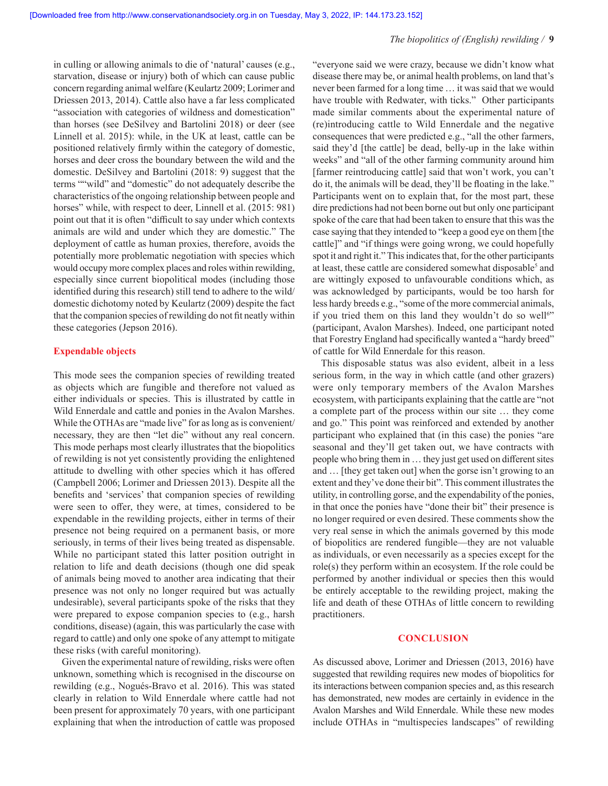in culling or allowing animals to die of 'natural' causes (e.g., starvation, disease or injury) both of which can cause public concern regarding animal welfare (Keulartz 2009; Lorimer and Driessen 2013, 2014). Cattle also have a far less complicated "association with categories of wildness and domestication" than horses (see DeSilvey and Bartolini 2018) or deer (see Linnell et al. 2015): while, in the UK at least, cattle can be positioned relatively firmly within the category of domestic, horses and deer cross the boundary between the wild and the domestic. DeSilvey and Bartolini (2018: 9) suggest that the terms ""wild" and "domestic" do not adequately describe the characteristics of the ongoing relationship between people and horses" while, with respect to deer, Linnell et al. (2015: 981) point out that it is often "difficult to say under which contexts animals are wild and under which they are domestic." The deployment of cattle as human proxies, therefore, avoids the potentially more problematic negotiation with species which would occupy more complex places and roles within rewilding, especially since current biopolitical modes (including those identified during this research) still tend to adhere to the wild/ domestic dichotomy noted by Keulartz (2009) despite the fact that the companion species of rewilding do not fit neatly within these categories (Jepson 2016).

## **Expendable objects**

This mode sees the companion species of rewilding treated as objects which are fungible and therefore not valued as either individuals or species. This is illustrated by cattle in Wild Ennerdale and cattle and ponies in the Avalon Marshes. While the OTHAs are "made live" for as long as is convenient/ necessary, they are then "let die" without any real concern. This mode perhaps most clearly illustrates that the biopolitics of rewilding is not yet consistently providing the enlightened attitude to dwelling with other species which it has offered (Campbell 2006; Lorimer and Driessen 2013). Despite all the benefits and 'services' that companion species of rewilding were seen to offer, they were, at times, considered to be expendable in the rewilding projects, either in terms of their presence not being required on a permanent basis, or more seriously, in terms of their lives being treated as dispensable. While no participant stated this latter position outright in relation to life and death decisions (though one did speak of animals being moved to another area indicating that their presence was not only no longer required but was actually undesirable), several participants spoke of the risks that they were prepared to expose companion species to (e.g., harsh conditions, disease) (again, this was particularly the case with regard to cattle) and only one spoke of any attempt to mitigate these risks (with careful monitoring).

Given the experimental nature of rewilding, risks were often unknown, something which is recognised in the discourse on rewilding (e.g., Nogués-Bravo et al. 2016). This was stated clearly in relation to Wild Ennerdale where cattle had not been present for approximately 70 years, with one participant explaining that when the introduction of cattle was proposed "everyone said we were crazy, because we didn't know what disease there may be, or animal health problems, on land that's never been farmed for a long time … it was said that we would have trouble with Redwater, with ticks." Other participants made similar comments about the experimental nature of (re)introducing cattle to Wild Ennerdale and the negative consequences that were predicted e.g., "all the other farmers, said they'd [the cattle] be dead, belly-up in the lake within weeks" and "all of the other farming community around him [farmer reintroducing cattle] said that won't work, you can't do it, the animals will be dead, they'll be floating in the lake." Participants went on to explain that, for the most part, these dire predictions had not been borne out but only one participant spoke of the care that had been taken to ensure that this was the case saying that they intended to "keep a good eye on them [the cattle]" and "if things were going wrong, we could hopefully spot it and right it." This indicates that, for the other participants at least, these cattle are considered somewhat disposable<sup>5</sup> and are wittingly exposed to unfavourable conditions which, as was acknowledged by participants, would be too harsh for less hardy breeds e.g., "some of the more commercial animals, if you tried them on this land they wouldn't do so well<sup>6</sup>" (participant, Avalon Marshes). Indeed, one participant noted that Forestry England had specifically wanted a "hardy breed" of cattle for Wild Ennerdale for this reason.

This disposable status was also evident, albeit in a less serious form, in the way in which cattle (and other grazers) were only temporary members of the Avalon Marshes ecosystem, with participants explaining that the cattle are "not a complete part of the process within our site … they come and go." This point was reinforced and extended by another participant who explained that (in this case) the ponies "are seasonal and they'll get taken out, we have contracts with people who bring them in … they just get used on different sites and … [they get taken out] when the gorse isn't growing to an extent and they've done their bit". This comment illustrates the utility, in controlling gorse, and the expendability of the ponies, in that once the ponies have "done their bit" their presence is no longer required or even desired. These comments show the very real sense in which the animals governed by this mode of biopolitics are rendered fungible—they are not valuable as individuals, or even necessarily as a species except for the role(s) they perform within an ecosystem. If the role could be performed by another individual or species then this would be entirely acceptable to the rewilding project, making the life and death of these OTHAs of little concern to rewilding practitioners.

# **CONCLUSION**

As discussed above, Lorimer and Driessen (2013, 2016) have suggested that rewilding requires new modes of biopolitics for its interactions between companion species and, as this research has demonstrated, new modes are certainly in evidence in the Avalon Marshes and Wild Ennerdale. While these new modes include OTHAs in "multispecies landscapes" of rewilding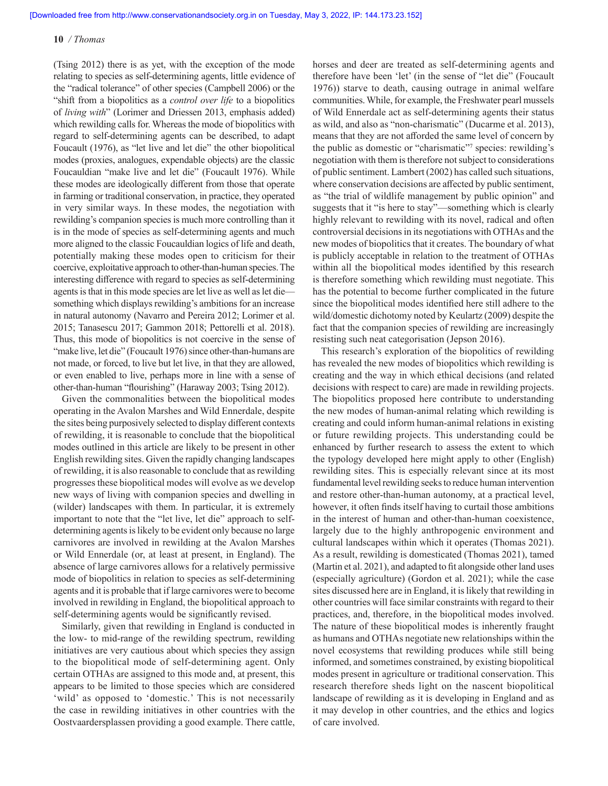(Tsing 2012) there is as yet, with the exception of the mode relating to species as self-determining agents, little evidence of the "radical tolerance" of other species (Campbell 2006) or the "shift from a biopolitics as a *control over life* to a biopolitics of *living with*" (Lorimer and Driessen 2013, emphasis added) which rewilding calls for. Whereas the mode of biopolitics with regard to self-determining agents can be described, to adapt Foucault (1976), as "let live and let die" the other biopolitical modes (proxies, analogues, expendable objects) are the classic Foucauldian "make live and let die" (Foucault 1976). While these modes are ideologically different from those that operate in farming or traditional conservation, in practice, they operated in very similar ways. In these modes, the negotiation with rewilding's companion species is much more controlling than it is in the mode of species as self-determining agents and much more aligned to the classic Foucauldian logics of life and death, potentially making these modes open to criticism for their coercive, exploitative approach to other-than-human species. The interesting difference with regard to species as self-determining agents is that in this mode species are let live as well as let die something which displays rewilding's ambitions for an increase in natural autonomy (Navarro and Pereira 2012; Lorimer et al. 2015; Tanasescu 2017; Gammon 2018; Pettorelli et al. 2018). Thus, this mode of biopolitics is not coercive in the sense of "make live, let die" (Foucault 1976) since other-than-humans are not made, or forced, to live but let live, in that they are allowed, or even enabled to live, perhaps more in line with a sense of other-than-human "flourishing" (Haraway 2003; Tsing 2012).

Given the commonalities between the biopolitical modes operating in the Avalon Marshes and Wild Ennerdale, despite the sites being purposively selected to display different contexts of rewilding, it is reasonable to conclude that the biopolitical modes outlined in this article are likely to be present in other English rewilding sites. Given the rapidly changing landscapes of rewilding, it is also reasonable to conclude that as rewilding progresses these biopolitical modes will evolve as we develop new ways of living with companion species and dwelling in (wilder) landscapes with them. In particular, it is extremely important to note that the "let live, let die" approach to selfdetermining agents is likely to be evident only because no large carnivores are involved in rewilding at the Avalon Marshes or Wild Ennerdale (or, at least at present, in England). The absence of large carnivores allows for a relatively permissive mode of biopolitics in relation to species as self-determining agents and it is probable that if large carnivores were to become involved in rewilding in England, the biopolitical approach to self-determining agents would be significantly revised.

Similarly, given that rewilding in England is conducted in the low- to mid-range of the rewilding spectrum, rewilding initiatives are very cautious about which species they assign to the biopolitical mode of self-determining agent. Only certain OTHAs are assigned to this mode and, at present, this appears to be limited to those species which are considered 'wild' as opposed to 'domestic.' This is not necessarily the case in rewilding initiatives in other countries with the Oostvaardersplassen providing a good example. There cattle, horses and deer are treated as self-determining agents and therefore have been 'let' (in the sense of "let die" (Foucault 1976)) starve to death, causing outrage in animal welfare communities. While, for example, the Freshwater pearl mussels of Wild Ennerdale act as self-determining agents their status as wild, and also as "non-charismatic" (Ducarme et al. 2013), means that they are not afforded the same level of concern by the public as domestic or "charismatic"<sup>7</sup> species: rewilding's negotiation with them is therefore not subject to considerations of public sentiment. Lambert (2002) has called such situations, where conservation decisions are affected by public sentiment, as "the trial of wildlife management by public opinion" and suggests that it "is here to stay"—something which is clearly highly relevant to rewilding with its novel, radical and often controversial decisions in its negotiations with OTHAs and the new modes of biopolitics that it creates. The boundary of what is publicly acceptable in relation to the treatment of OTHAs within all the biopolitical modes identified by this research is therefore something which rewilding must negotiate. This has the potential to become further complicated in the future since the biopolitical modes identified here still adhere to the wild/domestic dichotomy noted by Keulartz (2009) despite the fact that the companion species of rewilding are increasingly resisting such neat categorisation (Jepson 2016).

This research's exploration of the biopolitics of rewilding has revealed the new modes of biopolitics which rewilding is creating and the way in which ethical decisions (and related decisions with respect to care) are made in rewilding projects. The biopolitics proposed here contribute to understanding the new modes of human-animal relating which rewilding is creating and could inform human-animal relations in existing or future rewilding projects. This understanding could be enhanced by further research to assess the extent to which the typology developed here might apply to other (English) rewilding sites. This is especially relevant since at its most fundamental level rewilding seeks to reduce human intervention and restore other-than-human autonomy, at a practical level, however, it often finds itself having to curtail those ambitions in the interest of human and other-than-human coexistence, largely due to the highly anthropogenic environment and cultural landscapes within which it operates (Thomas 2021). As a result, rewilding is domesticated (Thomas 2021), tamed (Martin et al. 2021), and adapted to fit alongside other land uses (especially agriculture) (Gordon et al. 2021); while the case sites discussed here are in England, it is likely that rewilding in other countries will face similar constraints with regard to their practices, and, therefore, in the biopolitical modes involved. The nature of these biopolitical modes is inherently fraught as humans and OTHAs negotiate new relationships within the novel ecosystems that rewilding produces while still being informed, and sometimes constrained, by existing biopolitical modes present in agriculture or traditional conservation. This research therefore sheds light on the nascent biopolitical landscape of rewilding as it is developing in England and as it may develop in other countries, and the ethics and logics of care involved.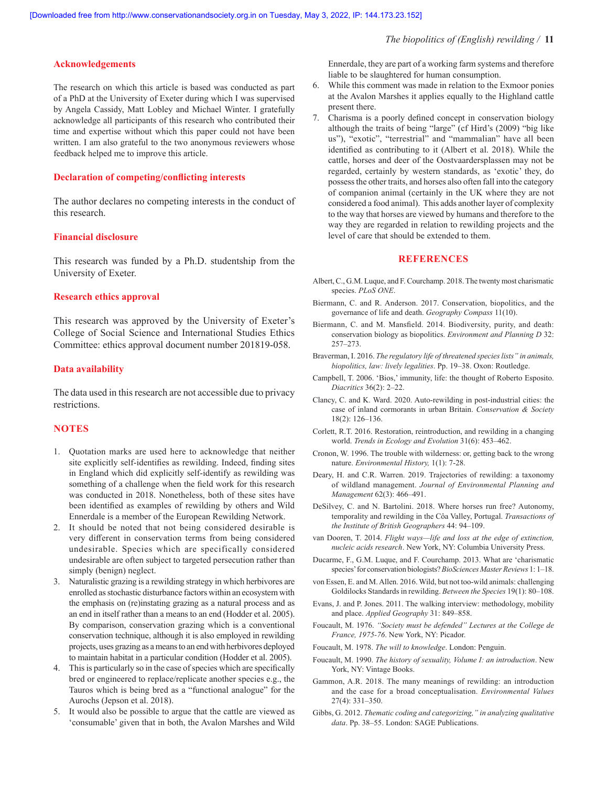#### **Acknowledgements**

The research on which this article is based was conducted as part of a PhD at the University of Exeter during which I was supervised by Angela Cassidy, Matt Lobley and Michael Winter. I gratefully acknowledge all participants of this research who contributed their time and expertise without which this paper could not have been written. I am also grateful to the two anonymous reviewers whose feedback helped me to improve this article.

#### **Declaration of competing/conflicting interests**

The author declares no competing interests in the conduct of this research.

#### **Financial disclosure**

This research was funded by a Ph.D. studentship from the University of Exeter.

#### **Research ethics approval**

This research was approved by the University of Exeter's College of Social Science and International Studies Ethics Committee: ethics approval document number 201819-058.

#### **Data availability**

The data used in this research are not accessible due to privacy restrictions.

#### **NOTES**

- 1. Quotation marks are used here to acknowledge that neither site explicitly self-identifies as rewilding. Indeed, finding sites in England which did explicitly self-identify as rewilding was something of a challenge when the field work for this research was conducted in 2018. Nonetheless, both of these sites have been identified as examples of rewilding by others and Wild Ennerdale is a member of the European Rewilding Network.
- 2. It should be noted that not being considered desirable is very different in conservation terms from being considered undesirable. Species which are specifically considered undesirable are often subject to targeted persecution rather than simply (benign) neglect.
- 3. Naturalistic grazing is a rewilding strategy in which herbivores are enrolled as stochastic disturbance factors within an ecosystem with the emphasis on (re)instating grazing as a natural process and as an end in itself rather than a means to an end (Hodder et al. 2005). By comparison, conservation grazing which is a conventional conservation technique, although it is also employed in rewilding projects, uses grazing as a means to an end with herbivores deployed to maintain habitat in a particular condition (Hodder et al. 2005).
- 4. This is particularly so in the case of species which are specifically bred or engineered to replace/replicate another species e.g., the Tauros which is being bred as a "functional analogue" for the Aurochs (Jepson et al. 2018).
- 5. It would also be possible to argue that the cattle are viewed as 'consumable' given that in both, the Avalon Marshes and Wild

Ennerdale, they are part of a working farm systems and therefore liable to be slaughtered for human consumption.

- 6. While this comment was made in relation to the Exmoor ponies at the Avalon Marshes it applies equally to the Highland cattle present there.
- 7. Charisma is a poorly defined concept in conservation biology although the traits of being "large" (cf Hird's (2009) "big like us"), "exotic", "terrestrial" and "mammalian" have all been identified as contributing to it (Albert et al. 2018). While the cattle, horses and deer of the Oostvaardersplassen may not be regarded, certainly by western standards, as 'exotic' they, do possess the other traits, and horses also often fall into the category of companion animal (certainly in the UK where they are not considered a food animal). This adds another layer of complexity to the way that horses are viewed by humans and therefore to the way they are regarded in relation to rewilding projects and the level of care that should be extended to them.

# **REFERENCES**

- Albert, C., G.M. Luque, and F. Courchamp. 2018. The twenty most charismatic species. *PLoS ONE*.
- Biermann, C. and R. Anderson. 2017. Conservation, biopolitics, and the governance of life and death. *Geography Compass* 11(10).
- Biermann, C. and M. Mansfield. 2014. Biodiversity, purity, and death: conservation biology as biopolitics. *Environment and Planning D* 32: 257–273.
- Braverman, I. 2016. *The regulatory life of threatened species lists" in animals, biopolitics, law: lively legalities*. Pp. 19–38. Oxon: Routledge.
- Campbell, T. 2006. 'Bios,' immunity, life: the thought of Roberto Esposito. *Diacritics* 36(2): 2–22.
- Clancy, C. and K. Ward. 2020. Auto-rewilding in post-industrial cities: the case of inland cormorants in urban Britain. *Conservation & Society* 18(2): 126–136.
- Corlett, R.T. 2016. Restoration, reintroduction, and rewilding in a changing world. *Trends in Ecology and Evolution* 31(6): 453–462.
- Cronon, W. 1996. The trouble with wilderness: or, getting back to the wrong nature. *Environmental History,* 1(1): 7-28.
- Deary, H. and C.R. Warren. 2019. Trajectories of rewilding: a taxonomy of wildland management. *Journal of Environmental Planning and Management* 62(3): 466–491.
- DeSilvey, C. and N. Bartolini. 2018. Where horses run free? Autonomy, temporality and rewilding in the Côa Valley, Portugal. *Transactions of the Institute of British Geographers* 44: 94–109.
- van Dooren, T. 2014. *Flight ways—life and loss at the edge of extinction, nucleic acids research*. New York, NY: Columbia University Press.
- Ducarme, F., G.M. Luque, and F. Courchamp. 2013. What are 'charismatic species' for conservation biologists? *BioSciences Master Reviews* 1: 1–18.
- von Essen, E. and M. Allen. 2016. Wild, but not too-wild animals: challenging Goldilocks Standards in rewilding. *Between the Species* 19(1): 80–108.
- Evans, J. and P. Jones. 2011. The walking interview: methodology, mobility and place. *Applied Geography* 31: 849–858.
- Foucault, M. 1976. *"Society must be defended" Lectures at the College de France, 1975-76*. New York, NY: Picador.
- Foucault, M. 1978. *The will to knowledge*. London: Penguin.
- Foucault, M. 1990. *The history of sexuality, Volume I: an introduction*. New York, NY: Vintage Books.
- Gammon, A.R. 2018. The many meanings of rewilding: an introduction and the case for a broad conceptualisation. *Environmental Values* 27(4): 331–350.
- Gibbs, G. 2012. *Thematic coding and categorizing," in analyzing qualitative data*. Pp. 38–55. London: SAGE Publications.